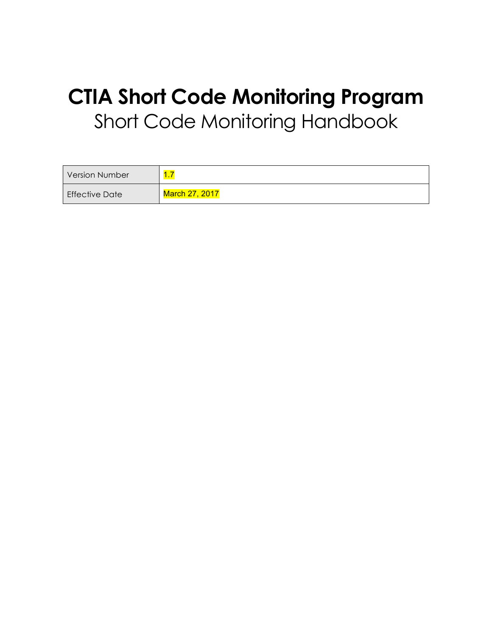# **CTIA Short Code Monitoring Program** Short Code Monitoring Handbook

| <b>Version Number</b> | $\overline{A}$<br>$\mathbf{L}$ |
|-----------------------|--------------------------------|
| <b>Effective Date</b> | <b>March 27, 2017</b>          |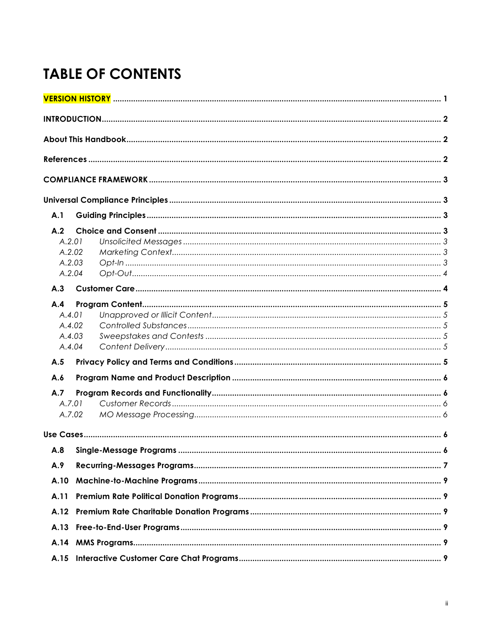## **TABLE OF CONTENTS**

| A.1           |                            |  |
|---------------|----------------------------|--|
| A.2<br>A.2.01 |                            |  |
| A.2.04        | A.2.02<br>A.2.03           |  |
| A.3           |                            |  |
| A.4<br>A.4.01 | A.4.02<br>A.4.03<br>A.4.04 |  |
| A.5           |                            |  |
| A.6           |                            |  |
| A.7<br>A.7.01 | A.7.02                     |  |
|               |                            |  |
|               |                            |  |
| A.9           |                            |  |
| A.10          |                            |  |
| A.11          |                            |  |
| A.12          |                            |  |
| A.13          |                            |  |
| A.14          |                            |  |
| A.15          |                            |  |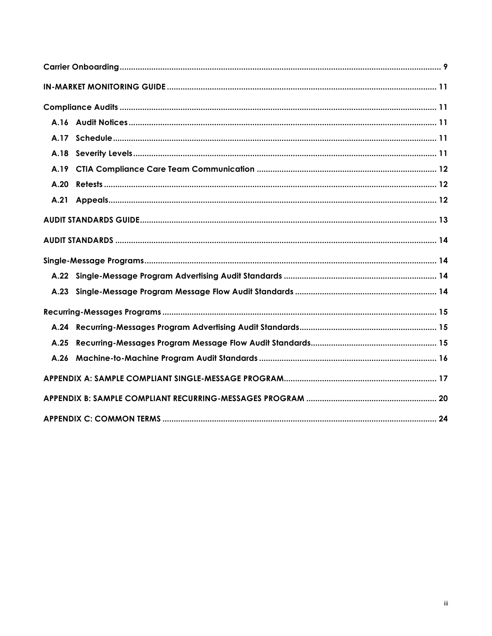| A.17 |  |
|------|--|
| A.18 |  |
| A.19 |  |
| A.20 |  |
| A.21 |  |
|      |  |
|      |  |
|      |  |
|      |  |
| A.23 |  |
|      |  |
|      |  |
| A.25 |  |
|      |  |
|      |  |
|      |  |
|      |  |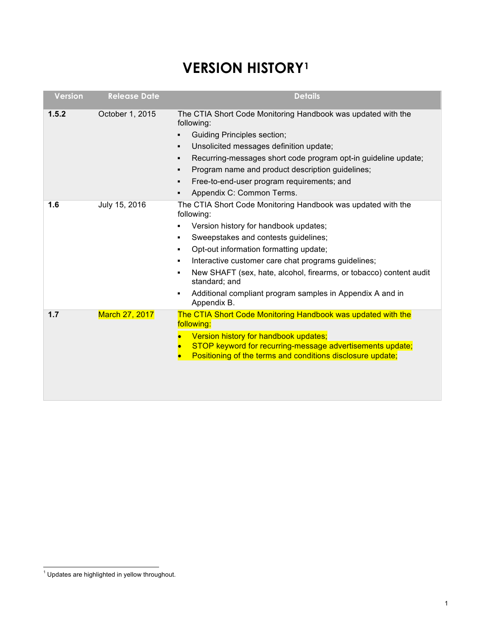## **VERSION HISTORY1**

| <b>Version</b> | <b>Release Date</b> | <b>Details</b>                                                                                                                                                                                                                                                                                                                                                                                                                                                                                                                 |
|----------------|---------------------|--------------------------------------------------------------------------------------------------------------------------------------------------------------------------------------------------------------------------------------------------------------------------------------------------------------------------------------------------------------------------------------------------------------------------------------------------------------------------------------------------------------------------------|
| 1.5.2          | October 1, 2015     | The CTIA Short Code Monitoring Handbook was updated with the<br>following:<br><b>Guiding Principles section;</b><br>$\blacksquare$<br>Unsolicited messages definition update;<br>٠<br>Recurring-messages short code program opt-in guideline update;<br>$\blacksquare$<br>Program name and product description guidelines;<br>٠<br>Free-to-end-user program requirements; and<br>٠<br>Appendix C: Common Terms.<br>٠                                                                                                           |
| 1.6            | July 15, 2016       | The CTIA Short Code Monitoring Handbook was updated with the<br>following:<br>Version history for handbook updates;<br>$\blacksquare$<br>Sweepstakes and contests guidelines;<br>$\blacksquare$<br>Opt-out information formatting update;<br>٠<br>Interactive customer care chat programs guidelines;<br>$\blacksquare$<br>New SHAFT (sex, hate, alcohol, firearms, or tobacco) content audit<br>$\blacksquare$<br>standard; and<br>Additional compliant program samples in Appendix A and in<br>$\blacksquare$<br>Appendix B. |
| 1.7            | March 27, 2017      | The CTIA Short Code Monitoring Handbook was updated with the<br>following:<br>Version history for handbook updates;<br>STOP keyword for recurring-message advertisements update;<br>Positioning of the terms and conditions disclosure update;                                                                                                                                                                                                                                                                                 |

 $^1$  Updates are highlighted in yellow throughout.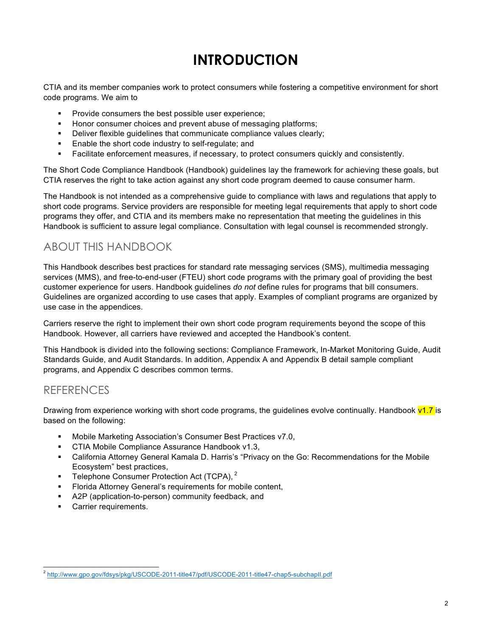## **INTRODUCTION**

CTIA and its member companies work to protect consumers while fostering a competitive environment for short code programs. We aim to

- Provide consumers the best possible user experience;
- Honor consumer choices and prevent abuse of messaging platforms;
- Beliver flexible quidelines that communicate compliance values clearly;
- Enable the short code industry to self-regulate; and
- Facilitate enforcement measures, if necessary, to protect consumers quickly and consistently.

The Short Code Compliance Handbook (Handbook) guidelines lay the framework for achieving these goals, but CTIA reserves the right to take action against any short code program deemed to cause consumer harm.

The Handbook is not intended as a comprehensive guide to compliance with laws and regulations that apply to short code programs. Service providers are responsible for meeting legal requirements that apply to short code programs they offer, and CTIA and its members make no representation that meeting the guidelines in this Handbook is sufficient to assure legal compliance. Consultation with legal counsel is recommended strongly.

## ABOUT THIS HANDBOOK

This Handbook describes best practices for standard rate messaging services (SMS), multimedia messaging services (MMS), and free-to-end-user (FTEU) short code programs with the primary goal of providing the best customer experience for users. Handbook guidelines *do not* define rules for programs that bill consumers. Guidelines are organized according to use cases that apply. Examples of compliant programs are organized by use case in the appendices.

Carriers reserve the right to implement their own short code program requirements beyond the scope of this Handbook. However, all carriers have reviewed and accepted the Handbook's content.

This Handbook is divided into the following sections: Compliance Framework, In-Market Monitoring Guide, Audit Standards Guide, and Audit Standards. In addition, Appendix A and Appendix B detail sample compliant programs, and Appendix C describes common terms.

## REFERENCES

Drawing from experience working with short code programs, the guidelines evolve continually. Handbook  $v1.7$  is based on the following:

- § Mobile Marketing Association's Consumer Best Practices v7.0,
- CTIA Mobile Compliance Assurance Handbook v1.3,
- § California Attorney General Kamala D. Harris's "Privacy on the Go: Recommendations for the Mobile Ecosystem" best practices,
- Telephone Consumer Protection Act (TCPA), <sup>2</sup>
- § Florida Attorney General's requirements for mobile content,
- A2P (application-to-person) community feedback, and
- Carrier requirements.

 <sup>2</sup> http://www.gpo.gov/fdsys/pkg/USCODE-2011-title47/pdf/USCODE-2011-title47-chap5-subchapII.pdf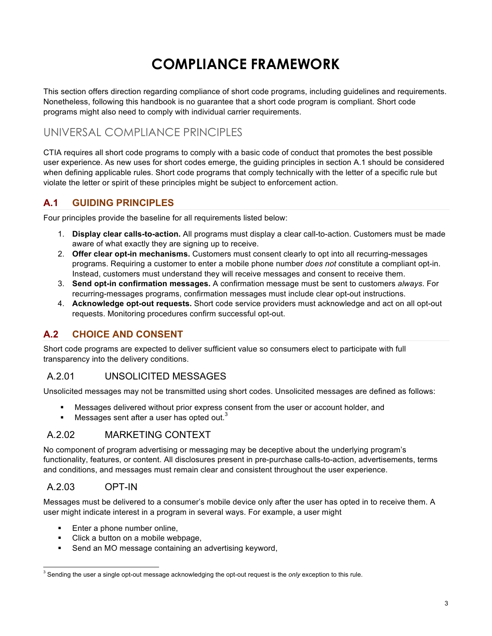## **COMPLIANCE FRAMEWORK**

This section offers direction regarding compliance of short code programs, including guidelines and requirements. Nonetheless, following this handbook is no guarantee that a short code program is compliant. Short code programs might also need to comply with individual carrier requirements.

## UNIVERSAL COMPLIANCE PRINCIPLES

CTIA requires all short code programs to comply with a basic code of conduct that promotes the best possible user experience. As new uses for short codes emerge, the guiding principles in section A.1 should be considered when defining applicable rules. Short code programs that comply technically with the letter of a specific rule but violate the letter or spirit of these principles might be subject to enforcement action.

### **A.1 GUIDING PRINCIPLES**

Four principles provide the baseline for all requirements listed below:

- 1. **Display clear calls-to-action.** All programs must display a clear call-to-action. Customers must be made aware of what exactly they are signing up to receive.
- 2. **Offer clear opt-in mechanisms.** Customers must consent clearly to opt into all recurring-messages programs. Requiring a customer to enter a mobile phone number *does not* constitute a compliant opt-in. Instead, customers must understand they will receive messages and consent to receive them.
- 3. **Send opt-in confirmation messages.** A confirmation message must be sent to customers *always*. For recurring-messages programs, confirmation messages must include clear opt-out instructions.
- 4. **Acknowledge opt-out requests.** Short code service providers must acknowledge and act on all opt-out requests. Monitoring procedures confirm successful opt-out.

### **A.2 CHOICE AND CONSENT**

Short code programs are expected to deliver sufficient value so consumers elect to participate with full transparency into the delivery conditions.

#### A.2.01 UNSOLICITED MESSAGES

Unsolicited messages may not be transmitted using short codes. Unsolicited messages are defined as follows:

- § Messages delivered without prior express consent from the user or account holder, and
- **■** Messages sent after a user has opted out.<sup>3</sup>

#### A.2.02 MARKETING CONTEXT

No component of program advertising or messaging may be deceptive about the underlying program's functionality, features, or content. All disclosures present in pre-purchase calls-to-action, advertisements, terms and conditions, and messages must remain clear and consistent throughout the user experience.

#### A.2.03 OPT-IN

Messages must be delivered to a consumer's mobile device only after the user has opted in to receive them. A user might indicate interest in a program in several ways. For example, a user might

- Enter a phone number online,
- § Click a button on a mobile webpage,
- Send an MO message containing an advertising keyword,

Sending the user a single opt-out message acknowledging the opt-out request is the *only* exception to this rule.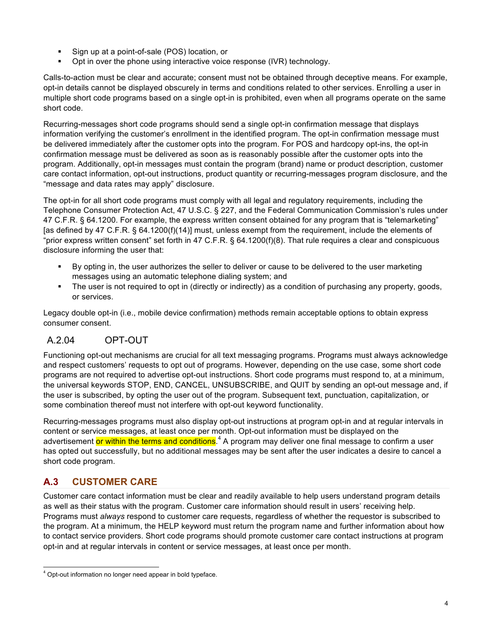- § Sign up at a point-of-sale (POS) location, or
- Opt in over the phone using interactive voice response (IVR) technology.

Calls-to-action must be clear and accurate; consent must not be obtained through deceptive means. For example, opt-in details cannot be displayed obscurely in terms and conditions related to other services. Enrolling a user in multiple short code programs based on a single opt-in is prohibited, even when all programs operate on the same short code.

Recurring-messages short code programs should send a single opt-in confirmation message that displays information verifying the customer's enrollment in the identified program. The opt-in confirmation message must be delivered immediately after the customer opts into the program. For POS and hardcopy opt-ins, the opt-in confirmation message must be delivered as soon as is reasonably possible after the customer opts into the program. Additionally, opt-in messages must contain the program (brand) name or product description, customer care contact information, opt-out instructions, product quantity or recurring-messages program disclosure, and the "message and data rates may apply" disclosure.

The opt-in for all short code programs must comply with all legal and regulatory requirements, including the Telephone Consumer Protection Act, 47 U.S.C. § 227, and the Federal Communication Commission's rules under 47 C.F.R. § 64.1200. For example, the express written consent obtained for any program that is "telemarketing" [as defined by 47 C.F.R. § 64.1200(f)(14)] must, unless exempt from the requirement, include the elements of "prior express written consent" set forth in 47 C.F.R. § 64.1200(f)(8). That rule requires a clear and conspicuous disclosure informing the user that:

- § By opting in, the user authorizes the seller to deliver or cause to be delivered to the user marketing messages using an automatic telephone dialing system; and
- The user is not required to opt in (directly or indirectly) as a condition of purchasing any property, goods, or services.

Legacy double opt-in (i.e., mobile device confirmation) methods remain acceptable options to obtain express consumer consent.

## A.2.04 OPT-OUT

Functioning opt-out mechanisms are crucial for all text messaging programs. Programs must always acknowledge and respect customers' requests to opt out of programs. However, depending on the use case, some short code programs are not required to advertise opt-out instructions. Short code programs must respond to, at a minimum, the universal keywords STOP, END, CANCEL, UNSUBSCRIBE, and QUIT by sending an opt-out message and, if the user is subscribed, by opting the user out of the program. Subsequent text, punctuation, capitalization, or some combination thereof must not interfere with opt-out keyword functionality.

Recurring-messages programs must also display opt-out instructions at program opt-in and at regular intervals in content or service messages, at least once per month. Opt-out information must be displayed on the advertisement <mark>or within the terms and conditions</mark>.<sup>4</sup> A program may deliver one final message to confirm a user has opted out successfully, but no additional messages may be sent after the user indicates a desire to cancel a short code program.

## **A.3 CUSTOMER CARE**

Customer care contact information must be clear and readily available to help users understand program details as well as their status with the program. Customer care information should result in users' receiving help. Programs must *always* respond to customer care requests, regardless of whether the requestor is subscribed to the program. At a minimum, the HELP keyword must return the program name and further information about how to contact service providers. Short code programs should promote customer care contact instructions at program opt-in and at regular intervals in content or service messages, at least once per month.

 <sup>4</sup> Opt-out information no longer need appear in bold typeface.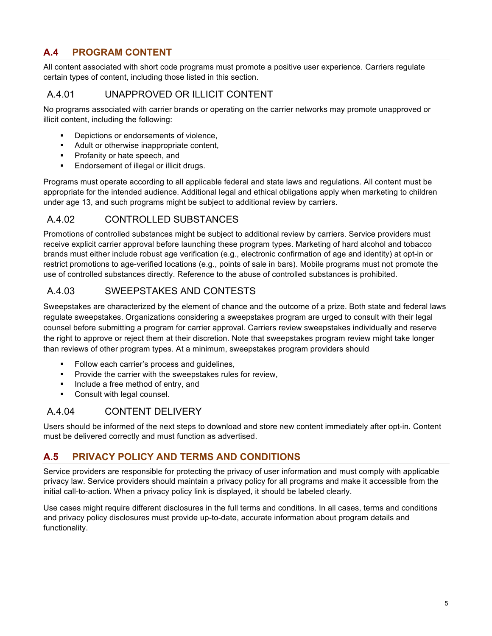## **A.4 PROGRAM CONTENT**

All content associated with short code programs must promote a positive user experience. Carriers regulate certain types of content, including those listed in this section.

## A.4.01 UNAPPROVED OR ILLICIT CONTENT

No programs associated with carrier brands or operating on the carrier networks may promote unapproved or illicit content, including the following:

- Depictions or endorsements of violence.
- Adult or otherwise inappropriate content,
- **•** Profanity or hate speech, and
- **Endorsement of illegal or illicit drugs.**

Programs must operate according to all applicable federal and state laws and regulations. All content must be appropriate for the intended audience. Additional legal and ethical obligations apply when marketing to children under age 13, and such programs might be subject to additional review by carriers.

#### A.4.02 CONTROLLED SUBSTANCES

Promotions of controlled substances might be subject to additional review by carriers. Service providers must receive explicit carrier approval before launching these program types. Marketing of hard alcohol and tobacco brands must either include robust age verification (e.g., electronic confirmation of age and identity) at opt-in or restrict promotions to age-verified locations (e.g., points of sale in bars). Mobile programs must not promote the use of controlled substances directly. Reference to the abuse of controlled substances is prohibited.

### A.4.03 SWEEPSTAKES AND CONTESTS

Sweepstakes are characterized by the element of chance and the outcome of a prize. Both state and federal laws regulate sweepstakes. Organizations considering a sweepstakes program are urged to consult with their legal counsel before submitting a program for carrier approval. Carriers review sweepstakes individually and reserve the right to approve or reject them at their discretion. Note that sweepstakes program review might take longer than reviews of other program types. At a minimum, sweepstakes program providers should

- Follow each carrier's process and quidelines,
- **•** Provide the carrier with the sweepstakes rules for review,
- § Include a free method of entry, and
- **•** Consult with legal counsel.

#### A.4.04 CONTENT DELIVERY

Users should be informed of the next steps to download and store new content immediately after opt-in. Content must be delivered correctly and must function as advertised.

#### **A.5 PRIVACY POLICY AND TERMS AND CONDITIONS**

Service providers are responsible for protecting the privacy of user information and must comply with applicable privacy law. Service providers should maintain a privacy policy for all programs and make it accessible from the initial call-to-action. When a privacy policy link is displayed, it should be labeled clearly.

Use cases might require different disclosures in the full terms and conditions. In all cases, terms and conditions and privacy policy disclosures must provide up-to-date, accurate information about program details and functionality.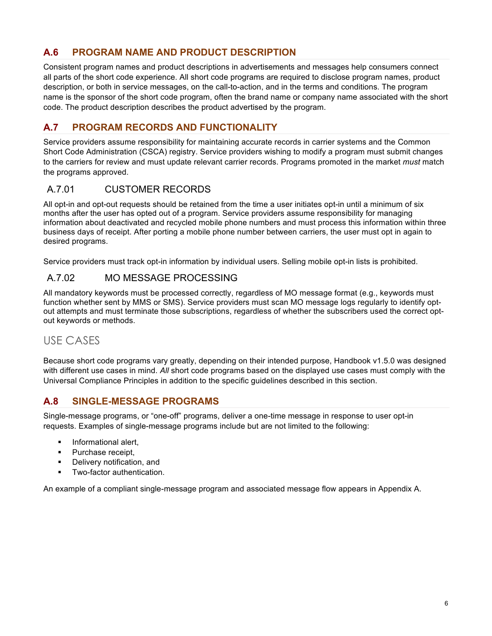## **A.6 PROGRAM NAME AND PRODUCT DESCRIPTION**

Consistent program names and product descriptions in advertisements and messages help consumers connect all parts of the short code experience. All short code programs are required to disclose program names, product description, or both in service messages, on the call-to-action, and in the terms and conditions. The program name is the sponsor of the short code program, often the brand name or company name associated with the short code. The product description describes the product advertised by the program.

## **A.7 PROGRAM RECORDS AND FUNCTIONALITY**

Service providers assume responsibility for maintaining accurate records in carrier systems and the Common Short Code Administration (CSCA) registry. Service providers wishing to modify a program must submit changes to the carriers for review and must update relevant carrier records. Programs promoted in the market *must* match the programs approved.

## A.7.01 CUSTOMER RECORDS

All opt-in and opt-out requests should be retained from the time a user initiates opt-in until a minimum of six months after the user has opted out of a program. Service providers assume responsibility for managing information about deactivated and recycled mobile phone numbers and must process this information within three business days of receipt. After porting a mobile phone number between carriers, the user must opt in again to desired programs.

Service providers must track opt-in information by individual users. Selling mobile opt-in lists is prohibited.

#### A.7.02 MO MESSAGE PROCESSING

All mandatory keywords must be processed correctly, regardless of MO message format (e.g., keywords must function whether sent by MMS or SMS). Service providers must scan MO message logs regularly to identify optout attempts and must terminate those subscriptions, regardless of whether the subscribers used the correct optout keywords or methods.

## USE CASES

Because short code programs vary greatly, depending on their intended purpose, Handbook v1.5.0 was designed with different use cases in mind. *All* short code programs based on the displayed use cases must comply with the Universal Compliance Principles in addition to the specific guidelines described in this section.

#### **A.8 SINGLE-MESSAGE PROGRAMS**

Single-message programs, or "one-off" programs, deliver a one-time message in response to user opt-in requests. Examples of single-message programs include but are not limited to the following:

- **•** Informational alert,
- Purchase receipt,
- Delivery notification, and
- **•** Two-factor authentication.

An example of a compliant single-message program and associated message flow appears in Appendix A.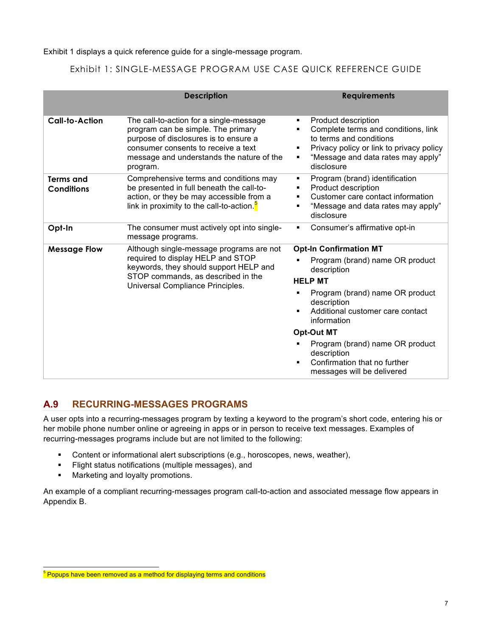Exhibit 1 displays a quick reference guide for a single-message program.

#### Exhibit 1: SINGLE-MESSAGE PROGRAM USE CASE QUICK REFERENCE GUIDE

|                                       | <b>Description</b>                                                                                                                                                                                                     | <b>Requirements</b>                                                                                                                                                                                                                                                                                                                         |
|---------------------------------------|------------------------------------------------------------------------------------------------------------------------------------------------------------------------------------------------------------------------|---------------------------------------------------------------------------------------------------------------------------------------------------------------------------------------------------------------------------------------------------------------------------------------------------------------------------------------------|
| <b>Call-to-Action</b>                 | The call-to-action for a single-message<br>program can be simple. The primary<br>purpose of disclosures is to ensure a<br>consumer consents to receive a text<br>message and understands the nature of the<br>program. | Product description<br>٠<br>Complete terms and conditions, link<br>to terms and conditions<br>Privacy policy or link to privacy policy<br>"Message and data rates may apply"<br>٠<br>disclosure                                                                                                                                             |
| <b>Terms and</b><br><b>Conditions</b> | Comprehensive terms and conditions may<br>be presented in full beneath the call-to-<br>action, or they be may accessible from a<br>link in proximity to the call-to-action. $\frac{1}{2}$                              | Program (brand) identification<br>٠<br>Product description<br>٠<br>Customer care contact information<br>"Message and data rates may apply"<br>disclosure                                                                                                                                                                                    |
| Opt-In                                | The consumer must actively opt into single-<br>message programs.                                                                                                                                                       | Consumer's affirmative opt-in<br>٠                                                                                                                                                                                                                                                                                                          |
| <b>Message Flow</b>                   | Although single-message programs are not<br>required to display HELP and STOP<br>keywords, they should support HELP and<br>STOP commands, as described in the<br>Universal Compliance Principles.                      | <b>Opt-In Confirmation MT</b><br>Program (brand) name OR product<br>description<br><b>HELP MT</b><br>Program (brand) name OR product<br>description<br>Additional customer care contact<br>information<br><b>Opt-Out MT</b><br>Program (brand) name OR product<br>description<br>Confirmation that no further<br>messages will be delivered |

### **A.9 RECURRING-MESSAGES PROGRAMS**

A user opts into a recurring-messages program by texting a keyword to the program's short code, entering his or her mobile phone number online or agreeing in apps or in person to receive text messages. Examples of recurring-messages programs include but are not limited to the following:

- Content or informational alert subscriptions (e.g., horoscopes, news, weather),
- § Flight status notifications (multiple messages), and
- Marketing and loyalty promotions.

An example of a compliant recurring-messages program call-to-action and associated message flow appears in Appendix B.

<sup>&</sup>lt;sup>5</sup> Popups have been removed as a method for displaying terms and conditions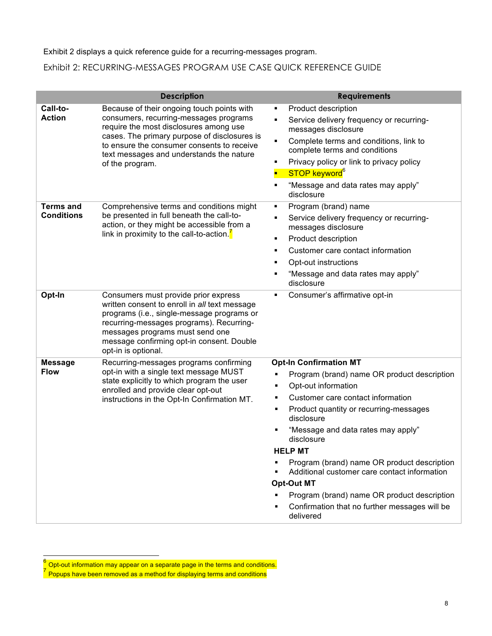#### Exhibit 2 displays a quick reference guide for a recurring-messages program.

### Exhibit 2: RECURRING-MESSAGES PROGRAM USE CASE QUICK REFERENCE GUIDE

|                                       | <b>Description</b>                                                                                                                                                                                                                                                                          | <b>Requirements</b>                                                                                                                                                                                                                                                                                                                                                                                                                                                                                                         |
|---------------------------------------|---------------------------------------------------------------------------------------------------------------------------------------------------------------------------------------------------------------------------------------------------------------------------------------------|-----------------------------------------------------------------------------------------------------------------------------------------------------------------------------------------------------------------------------------------------------------------------------------------------------------------------------------------------------------------------------------------------------------------------------------------------------------------------------------------------------------------------------|
| Call-to-<br><b>Action</b>             | Because of their ongoing touch points with<br>consumers, recurring-messages programs<br>require the most disclosures among use<br>cases. The primary purpose of disclosures is<br>to ensure the consumer consents to receive<br>text messages and understands the nature<br>of the program. | Product description<br>٠<br>Service delivery frequency or recurring-<br>messages disclosure<br>Complete terms and conditions, link to<br>٠<br>complete terms and conditions<br>Privacy policy or link to privacy policy<br>STOP keyword <sup>6</sup><br>"Message and data rates may apply"<br>disclosure                                                                                                                                                                                                                    |
| <b>Terms and</b><br><b>Conditions</b> | Comprehensive terms and conditions might<br>be presented in full beneath the call-to-<br>action, or they might be accessible from a<br>link in proximity to the call-to-action. $\int$                                                                                                      | Program (brand) name<br>٠<br>Service delivery frequency or recurring-<br>п<br>messages disclosure<br>Product description<br>٠<br>Customer care contact information<br>٠<br>Opt-out instructions<br>٠<br>"Message and data rates may apply"<br>disclosure                                                                                                                                                                                                                                                                    |
| Opt-In                                | Consumers must provide prior express<br>written consent to enroll in all text message<br>programs (i.e., single-message programs or<br>recurring-messages programs). Recurring-<br>messages programs must send one<br>message confirming opt-in consent. Double<br>opt-in is optional.      | Consumer's affirmative opt-in<br>٠                                                                                                                                                                                                                                                                                                                                                                                                                                                                                          |
| <b>Message</b><br><b>Flow</b>         | Recurring-messages programs confirming<br>opt-in with a single text message MUST<br>state explicitly to which program the user<br>enrolled and provide clear opt-out<br>instructions in the Opt-In Confirmation MT.                                                                         | <b>Opt-In Confirmation MT</b><br>Program (brand) name OR product description<br>٠<br>Opt-out information<br>٠<br>Customer care contact information<br>٠<br>Product quantity or recurring-messages<br>disclosure<br>"Message and data rates may apply"<br>disclosure<br><b>HELP MT</b><br>Program (brand) name OR product description<br>Additional customer care contact information<br><b>Opt-Out MT</b><br>Program (brand) name OR product description<br>٠<br>Confirmation that no further messages will be<br>delivered |

 $^6$  Opt-out information may appear on a separate page in the terms and conditions.  $7$  Popups have been removed as a method for displaying terms and conditions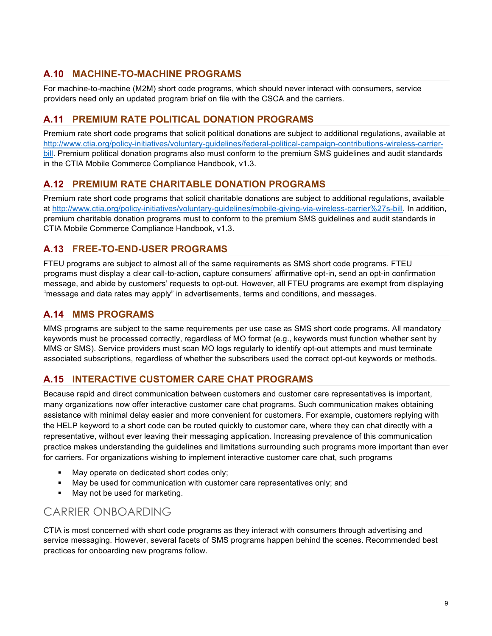## **A.10 MACHINE-TO-MACHINE PROGRAMS**

For machine-to-machine (M2M) short code programs, which should never interact with consumers, service providers need only an updated program brief on file with the CSCA and the carriers.

#### **A.11 PREMIUM RATE POLITICAL DONATION PROGRAMS**

Premium rate short code programs that solicit political donations are subject to additional regulations, available at http://www.ctia.org/policy-initiatives/voluntary-guidelines/federal-political-campaign-contributions-wireless-carrierbill. Premium political donation programs also must conform to the premium SMS guidelines and audit standards in the CTIA Mobile Commerce Compliance Handbook, v1.3.

#### **A.12 PREMIUM RATE CHARITABLE DONATION PROGRAMS**

Premium rate short code programs that solicit charitable donations are subject to additional regulations, available at http://www.ctia.org/policy-initiatives/voluntary-guidelines/mobile-giving-via-wireless-carrier%27s-bill. In addition, premium charitable donation programs must to conform to the premium SMS guidelines and audit standards in CTIA Mobile Commerce Compliance Handbook, v1.3.

#### **A.13 FREE-TO-END-USER PROGRAMS**

FTEU programs are subject to almost all of the same requirements as SMS short code programs. FTEU programs must display a clear call-to-action, capture consumers' affirmative opt-in, send an opt-in confirmation message, and abide by customers' requests to opt-out. However, all FTEU programs are exempt from displaying "message and data rates may apply" in advertisements, terms and conditions, and messages.

#### **A.14 MMS PROGRAMS**

MMS programs are subject to the same requirements per use case as SMS short code programs. All mandatory keywords must be processed correctly, regardless of MO format (e.g., keywords must function whether sent by MMS or SMS). Service providers must scan MO logs regularly to identify opt-out attempts and must terminate associated subscriptions, regardless of whether the subscribers used the correct opt-out keywords or methods.

### **A.15 INTERACTIVE CUSTOMER CARE CHAT PROGRAMS**

Because rapid and direct communication between customers and customer care representatives is important, many organizations now offer interactive customer care chat programs. Such communication makes obtaining assistance with minimal delay easier and more convenient for customers. For example, customers replying with the HELP keyword to a short code can be routed quickly to customer care, where they can chat directly with a representative, without ever leaving their messaging application. Increasing prevalence of this communication practice makes understanding the guidelines and limitations surrounding such programs more important than ever for carriers. For organizations wishing to implement interactive customer care chat, such programs

- May operate on dedicated short codes only;
- May be used for communication with customer care representatives only; and
- May not be used for marketing.

## CARRIER ONBOARDING

CTIA is most concerned with short code programs as they interact with consumers through advertising and service messaging. However, several facets of SMS programs happen behind the scenes. Recommended best practices for onboarding new programs follow.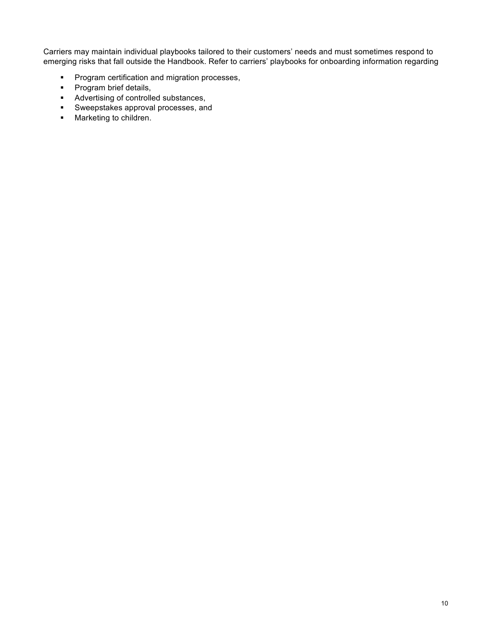Carriers may maintain individual playbooks tailored to their customers' needs and must sometimes respond to emerging risks that fall outside the Handbook. Refer to carriers' playbooks for onboarding information regarding

- Program certification and migration processes,
- **•** Program brief details,
- Advertising of controlled substances,
- § Sweepstakes approval processes, and
- **■** Marketing to children.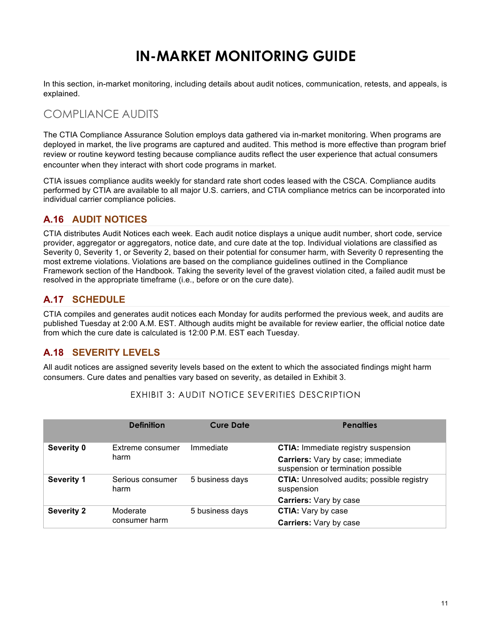## **IN-MARKET MONITORING GUIDE**

In this section, in-market monitoring, including details about audit notices, communication, retests, and appeals, is explained.

## COMPLIANCE AUDITS

The CTIA Compliance Assurance Solution employs data gathered via in-market monitoring. When programs are deployed in market, the live programs are captured and audited. This method is more effective than program brief review or routine keyword testing because compliance audits reflect the user experience that actual consumers encounter when they interact with short code programs in market.

CTIA issues compliance audits weekly for standard rate short codes leased with the CSCA. Compliance audits performed by CTIA are available to all major U.S. carriers, and CTIA compliance metrics can be incorporated into individual carrier compliance policies.

### **A.16 AUDIT NOTICES**

CTIA distributes Audit Notices each week. Each audit notice displays a unique audit number, short code, service provider, aggregator or aggregators, notice date, and cure date at the top. Individual violations are classified as Severity 0, Severity 1, or Severity 2, based on their potential for consumer harm, with Severity 0 representing the most extreme violations. Violations are based on the compliance guidelines outlined in the Compliance Framework section of the Handbook. Taking the severity level of the gravest violation cited, a failed audit must be resolved in the appropriate timeframe (i.e., before or on the cure date).

## **A.17 SCHEDULE**

CTIA compiles and generates audit notices each Monday for audits performed the previous week, and audits are published Tuesday at 2:00 A.M. EST. Although audits might be available for review earlier, the official notice date from which the cure date is calculated is 12:00 P.M. EST each Tuesday.

### **A.18 SEVERITY LEVELS**

All audit notices are assigned severity levels based on the extent to which the associated findings might harm consumers. Cure dates and penalties vary based on severity, as detailed in Exhibit 3.

|                   | <b>Definition</b>         | <b>Cure Date</b> | <b>Penalties</b>                                                        |
|-------------------|---------------------------|------------------|-------------------------------------------------------------------------|
| Severity 0        | Extreme consumer          | Immediate        | <b>CTIA:</b> Immediate registry suspension                              |
|                   | harm                      |                  | Carriers: Vary by case; immediate<br>suspension or termination possible |
| <b>Severity 1</b> | Serious consumer<br>harm  | 5 business days  | <b>CTIA:</b> Unresolved audits; possible registry<br>suspension         |
|                   |                           |                  | <b>Carriers: Vary by case</b>                                           |
| <b>Severity 2</b> | Moderate<br>consumer harm | 5 business days  | <b>CTIA:</b> Vary by case                                               |
|                   |                           |                  | <b>Carriers: Vary by case</b>                                           |

#### EXHIBIT 3: AUDIT NOTICE SEVERITIES DESCRIPTION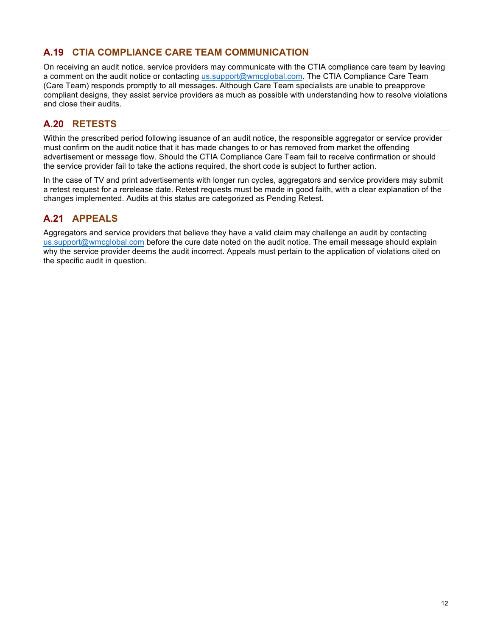## **A.19 CTIA COMPLIANCE CARE TEAM COMMUNICATION**

On receiving an audit notice, service providers may communicate with the CTIA compliance care team by leaving a comment on the audit notice or contacting us.support@wmcglobal.com. The CTIA Compliance Care Team (Care Team) responds promptly to all messages. Although Care Team specialists are unable to preapprove compliant designs, they assist service providers as much as possible with understanding how to resolve violations and close their audits.

### **A.20 RETESTS**

Within the prescribed period following issuance of an audit notice, the responsible aggregator or service provider must confirm on the audit notice that it has made changes to or has removed from market the offending advertisement or message flow. Should the CTIA Compliance Care Team fail to receive confirmation or should the service provider fail to take the actions required, the short code is subject to further action.

In the case of TV and print advertisements with longer run cycles, aggregators and service providers may submit a retest request for a rerelease date. Retest requests must be made in good faith, with a clear explanation of the changes implemented. Audits at this status are categorized as Pending Retest.

#### **A.21 APPEALS**

Aggregators and service providers that believe they have a valid claim may challenge an audit by contacting us.support@wmcglobal.com before the cure date noted on the audit notice. The email message should explain why the service provider deems the audit incorrect. Appeals must pertain to the application of violations cited on the specific audit in question.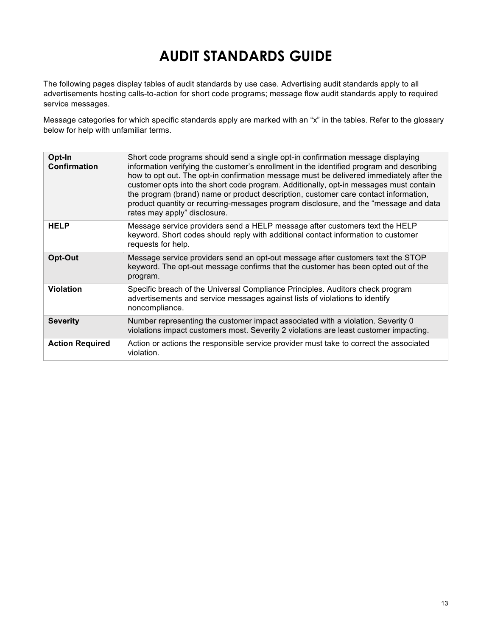## **AUDIT STANDARDS GUIDE**

The following pages display tables of audit standards by use case. Advertising audit standards apply to all advertisements hosting calls-to-action for short code programs; message flow audit standards apply to required service messages.

Message categories for which specific standards apply are marked with an "x" in the tables. Refer to the glossary below for help with unfamiliar terms.

| Opt-In<br><b>Confirmation</b> | Short code programs should send a single opt-in confirmation message displaying<br>information verifying the customer's enrollment in the identified program and describing<br>how to opt out. The opt-in confirmation message must be delivered immediately after the<br>customer opts into the short code program. Additionally, opt-in messages must contain<br>the program (brand) name or product description, customer care contact information,<br>product quantity or recurring-messages program disclosure, and the "message and data<br>rates may apply" disclosure. |
|-------------------------------|--------------------------------------------------------------------------------------------------------------------------------------------------------------------------------------------------------------------------------------------------------------------------------------------------------------------------------------------------------------------------------------------------------------------------------------------------------------------------------------------------------------------------------------------------------------------------------|
| <b>HELP</b>                   | Message service providers send a HELP message after customers text the HELP<br>keyword. Short codes should reply with additional contact information to customer<br>requests for help.                                                                                                                                                                                                                                                                                                                                                                                         |
| Opt-Out                       | Message service providers send an opt-out message after customers text the STOP<br>keyword. The opt-out message confirms that the customer has been opted out of the<br>program.                                                                                                                                                                                                                                                                                                                                                                                               |
| <b>Violation</b>              | Specific breach of the Universal Compliance Principles. Auditors check program<br>advertisements and service messages against lists of violations to identify<br>noncompliance.                                                                                                                                                                                                                                                                                                                                                                                                |
| <b>Severity</b>               | Number representing the customer impact associated with a violation. Severity 0<br>violations impact customers most. Severity 2 violations are least customer impacting.                                                                                                                                                                                                                                                                                                                                                                                                       |
| <b>Action Required</b>        | Action or actions the responsible service provider must take to correct the associated<br>violation.                                                                                                                                                                                                                                                                                                                                                                                                                                                                           |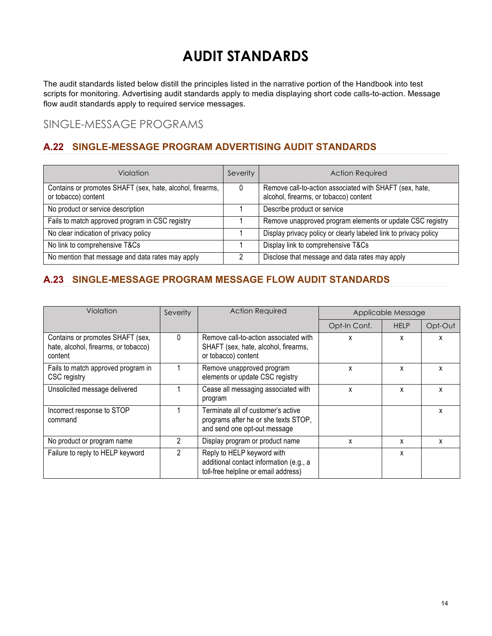## **AUDIT STANDARDS**

The audit standards listed below distill the principles listed in the narrative portion of the Handbook into test scripts for monitoring. Advertising audit standards apply to media displaying short code calls-to-action. Message flow audit standards apply to required service messages.

SINGLE-MESSAGE PROGRAMS

## **A.22 SINGLE-MESSAGE PROGRAM ADVERTISING AUDIT STANDARDS**

| Violation                                                                        | Severity | <b>Action Required</b>                                                                            |
|----------------------------------------------------------------------------------|----------|---------------------------------------------------------------------------------------------------|
| Contains or promotes SHAFT (sex, hate, alcohol, firearms,<br>or tobacco) content | 0        | Remove call-to-action associated with SHAFT (sex, hate,<br>alcohol, firearms, or tobacco) content |
| No product or service description                                                |          | Describe product or service                                                                       |
| Fails to match approved program in CSC registry                                  |          | Remove unapproved program elements or update CSC registry                                         |
| No clear indication of privacy policy                                            |          | Display privacy policy or clearly labeled link to privacy policy                                  |
| No link to comprehensive T&Cs                                                    |          | Display link to comprehensive T&Cs                                                                |
| No mention that message and data rates may apply                                 |          | Disclose that message and data rates may apply                                                    |

## **A.23 SINGLE-MESSAGE PROGRAM MESSAGE FLOW AUDIT STANDARDS**

| Violation                                                                           | Severity | <b>Action Required</b>                                                                                        | Applicable Message |             |         |
|-------------------------------------------------------------------------------------|----------|---------------------------------------------------------------------------------------------------------------|--------------------|-------------|---------|
|                                                                                     |          |                                                                                                               | Opt-In Conf.       | <b>HELP</b> | Opt-Out |
| Contains or promotes SHAFT (sex,<br>hate, alcohol, firearms, or tobacco)<br>content | $\Omega$ | Remove call-to-action associated with<br>SHAFT (sex, hate, alcohol, firearms,<br>or tobacco) content          | x                  | x           | x       |
| Fails to match approved program in<br>CSC registry                                  |          | Remove unapproved program<br>elements or update CSC registry                                                  | x                  | x           | x       |
| Unsolicited message delivered                                                       |          | Cease all messaging associated with<br>program                                                                | x                  | x           | x       |
| Incorrect response to STOP<br>command                                               |          | Terminate all of customer's active<br>programs after he or she texts STOP,<br>and send one opt-out message    |                    |             | x       |
| No product or program name                                                          | 2        | Display program or product name                                                                               | x                  | x           | x       |
| Failure to reply to HELP keyword                                                    | 2        | Reply to HELP keyword with<br>additional contact information (e.g., a<br>toll-free helpline or email address) |                    | x           |         |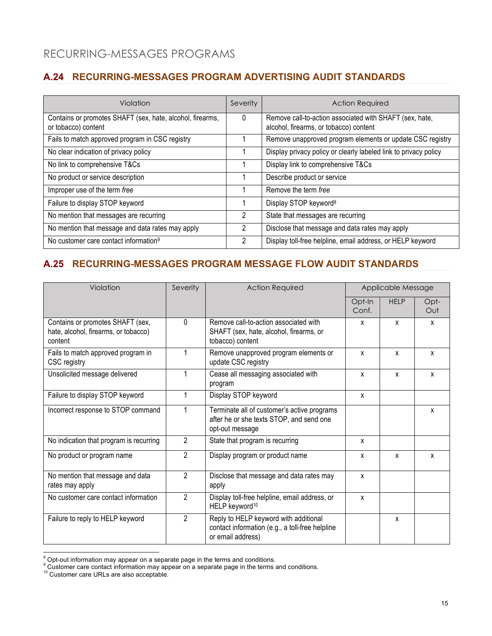## RECURRING-MESSAGES PROGRAMS

## **A.24 RECURRING-MESSAGES PROGRAM ADVERTISING AUDIT STANDARDS**

| Violation                                                                        | Severity | <b>Action Required</b>                                                                            |
|----------------------------------------------------------------------------------|----------|---------------------------------------------------------------------------------------------------|
| Contains or promotes SHAFT (sex, hate, alcohol, firearms,<br>or tobacco) content | 0        | Remove call-to-action associated with SHAFT (sex, hate,<br>alcohol, firearms, or tobacco) content |
| Fails to match approved program in CSC registry                                  |          | Remove unapproved program elements or update CSC registry                                         |
| No clear indication of privacy policy                                            |          | Display privacy policy or clearly labeled link to privacy policy                                  |
| No link to comprehensive T&Cs                                                    |          | Display link to comprehensive T&Cs                                                                |
| No product or service description                                                |          | Describe product or service                                                                       |
| Improper use of the term free                                                    |          | Remove the term free                                                                              |
| Failure to display STOP keyword                                                  |          | Display STOP keyword <sup>8</sup>                                                                 |
| No mention that messages are recurring                                           | 2        | State that messages are recurring                                                                 |
| No mention that message and data rates may apply                                 | 2        | Disclose that message and data rates may apply                                                    |
| No customer care contact information <sup>9</sup>                                | 2        | Display toll-free helpline, email address, or HELP keyword                                        |

### **A.25 RECURRING-MESSAGES PROGRAM MESSAGE FLOW AUDIT STANDARDS**

| Violation                                                                           | Severity       | <b>Action Required</b>                                                                                        |                 |             | Applicable Message |  |
|-------------------------------------------------------------------------------------|----------------|---------------------------------------------------------------------------------------------------------------|-----------------|-------------|--------------------|--|
|                                                                                     |                |                                                                                                               | Opt-In<br>Conf. | <b>HELP</b> | Opt-<br>Out        |  |
| Contains or promotes SHAFT (sex,<br>hate, alcohol, firearms, or tobacco)<br>content | 0              | Remove call-to-action associated with<br>SHAFT (sex, hate, alcohol, firearms, or<br>tobacco) content          | X               | x           | X                  |  |
| Fails to match approved program in<br>CSC registry                                  |                | Remove unapproved program elements or<br>update CSC registry                                                  | X               | x           | X                  |  |
| Unsolicited message delivered                                                       | 1              | Cease all messaging associated with<br>program                                                                | X               | X           | X                  |  |
| Failure to display STOP keyword                                                     | 1              | Display STOP keyword                                                                                          | X               |             |                    |  |
| Incorrect response to STOP command                                                  | 1              | Terminate all of customer's active programs<br>after he or she texts STOP, and send one<br>opt-out message    |                 |             | X                  |  |
| No indication that program is recurring                                             | $\overline{2}$ | State that program is recurring                                                                               | X               |             |                    |  |
| No product or program name                                                          | $\overline{2}$ | Display program or product name                                                                               | X               | x           | x                  |  |
| No mention that message and data<br>rates may apply                                 | $\overline{2}$ | Disclose that message and data rates may<br>apply                                                             | X               |             |                    |  |
| No customer care contact information                                                | $\overline{2}$ | Display toll-free helpline, email address, or<br>HELP keyword <sup>10</sup>                                   | X               |             |                    |  |
| Failure to reply to HELP keyword                                                    | $\overline{2}$ | Reply to HELP keyword with additional<br>contact information (e.g., a toll-free helpline<br>or email address) |                 | x           |                    |  |

 $^8$  Opt-out information may appear on a separate page in the terms and conditions.<br><sup>9</sup> Customer care contact information may appear on a separate page in the terms and conditions.

<sup>&</sup>lt;sup>10</sup> Customer care URLs are also acceptable.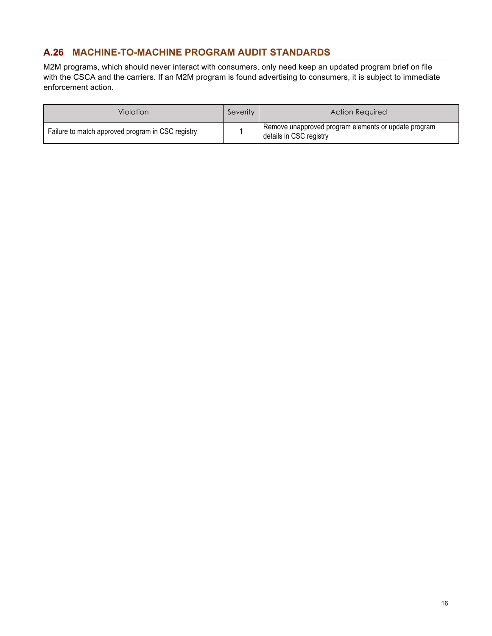#### **A.26 MACHINE-TO-MACHINE PROGRAM AUDIT STANDARDS**

M2M programs, which should never interact with consumers, only need keep an updated program brief on file with the CSCA and the carriers. If an M2M program is found advertising to consumers, it is subject to immediate enforcement action.

| Violation                                         | Severity | Action Required                                                                              |
|---------------------------------------------------|----------|----------------------------------------------------------------------------------------------|
| Failure to match approved program in CSC registry |          | <sup>1</sup> Remove unapproved program elements or update program<br>details in CSC registry |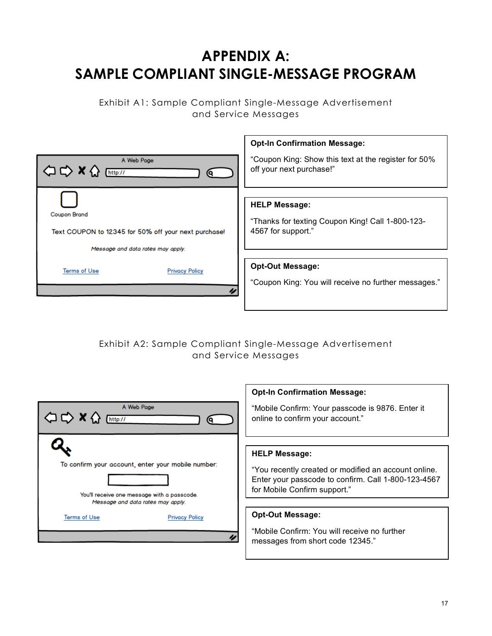## **APPENDIX A: SAMPLE COMPLIANT SINGLE-MESSAGE PROGRAM**

Exhibit A1: Sample Compliant Single-Message Advertisement and Service Messages

|                                                      | <b>Opt-In Confirmation Message:</b>                  |
|------------------------------------------------------|------------------------------------------------------|
| A Web Page                                           | "Coupon King: Show this text at the register for 50% |
| http://                                              | off your next purchase!"                             |
| <b>Coupon Brand</b>                                  | <b>HELP Message:</b>                                 |
| Text COUPON to 12345 for 50% off your next purchase! | "Thanks for texting Coupon King! Call 1-800-123-     |
| Message and data rates may apply.                    | 4567 for support."                                   |
| <b>Terms of Use</b>                                  | <b>Opt-Out Message:</b>                              |
| <b>Privacy Policy</b>                                | "Coupon King: You will receive no further messages." |

Exhibit A2: Sample Compliant Single-Message Advertisement and Service Messages

|                                                                                                   | <b>Opt-In Confirmation Message:</b>                                                                                                                                 |
|---------------------------------------------------------------------------------------------------|---------------------------------------------------------------------------------------------------------------------------------------------------------------------|
| A Web Page                                                                                        | "Mobile Confirm: Your passcode is 9876. Enter it                                                                                                                    |
| http://                                                                                           | online to confirm your account."                                                                                                                                    |
| To confirm your account, enter your mobile number:<br>You'll receive one message with a passcode. | <b>HELP Message:</b><br>"You recently created or modified an account online.<br>Enter your passcode to confirm. Call 1-800-123-4567<br>for Mobile Confirm support." |
| Message and data rates may apply.                                                                 | <b>Opt-Out Message:</b>                                                                                                                                             |
| <b>Terms of Use</b>                                                                               | "Mobile Confirm: You will receive no further                                                                                                                        |
| <b>Privacy Policy</b>                                                                             | messages from short code 12345."                                                                                                                                    |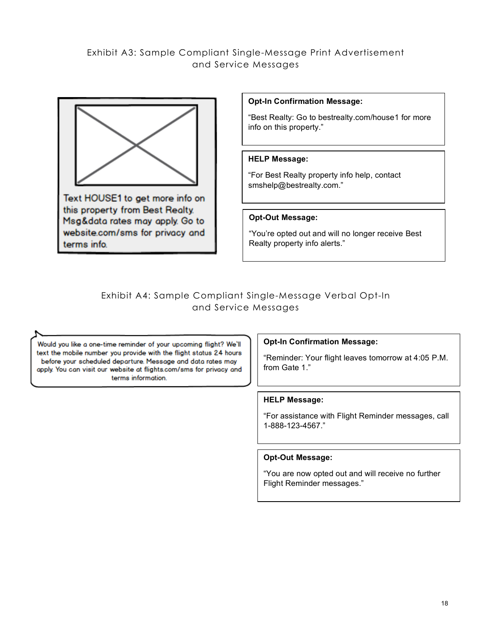### Exhibit A3: Sample Compliant Single-Message Print Advertisement and Service Messages



Text HOUSE1 to get more info on this property from Best Realty. Msg&data rates may apply. Go to website.com/sms for privacy and terms info.

#### **Opt-In Confirmation Message:**

"Best Realty: Go to bestrealty.com/house1 for more info on this property."

#### **HELP Message:**

"For Best Realty property info help, contact smshelp@bestrealty.com."

#### **Opt-Out Message:**

"You're opted out and will no longer receive Best Realty property info alerts."

#### Exhibit A4: Sample Compliant Single-Message Verbal Opt-In and Service Messages

Would you like a one-time reminder of your upcoming flight? We'll text the mobile number you provide with the flight status 24 hours before your scheduled departure. Message and data rates may apply. You can visit our website at flights.com/sms for privacy and terms information.

#### **Opt-In Confirmation Message:**

"Reminder: Your flight leaves tomorrow at 4:05 P.M. from Gate 1."

#### **HELP Message:**

"For assistance with Flight Reminder messages, call 1-888-123-4567."

#### **Opt-Out Message:**

"You are now opted out and will receive no further Flight Reminder messages."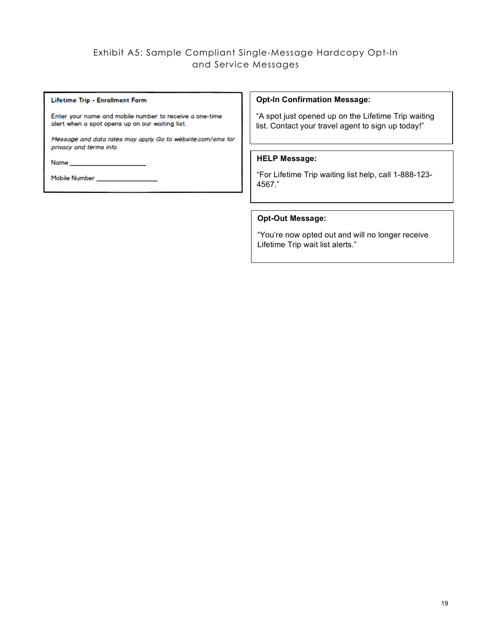#### Exhibit A5: Sample Compliant Single-Message Hardcopy Opt-In and Service Messages

#### Lifetime Trip - Enrollment Form

Enter your name and mobile number to receive a one-time alert when a spot opens up on our waiting list.

Message and data rates may apply. Go to website.com/sms for privacy and terms info.

Name\_

Mobile Number \_\_\_\_\_\_\_\_\_

#### **Opt-In Confirmation Message:**

"A spot just opened up on the Lifetime Trip waiting list. Contact your travel agent to sign up today!"

#### **HELP Message:**

"For Lifetime Trip waiting list help, call 1-888-123- 4567."

#### **Opt-Out Message:**

"You're now opted out and will no longer receive Lifetime Trip wait list alerts."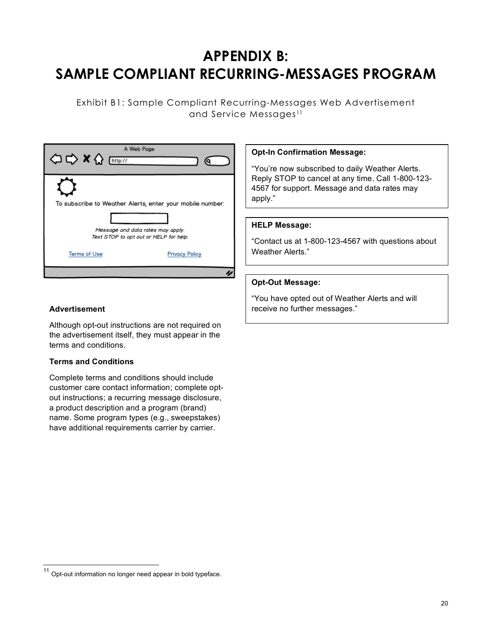## **APPENDIX B: SAMPLE COMPLIANT RECURRING-MESSAGES PROGRAM**

Exhibit B1: Sample Compliant Recurring-Messages Web Advertisement and Service Messages<sup>11</sup>

| ○ → × △ [http://                                                            | A Web Page                                                |
|-----------------------------------------------------------------------------|-----------------------------------------------------------|
|                                                                             | To subscribe to Weather Alerts, enter your mobile number: |
| Message and data rates may apply.<br>Text STOP to opt out or HELP for help. |                                                           |
| <b>Terms of Use</b>                                                         | <b>Privacy Policy</b>                                     |
|                                                                             |                                                           |

#### **Opt-In Confirmation Message:**

"You're now subscribed to daily Weather Alerts. Reply STOP to cancel at any time. Call 1-800-123- 4567 for support. Message and data rates may apply."

#### **HELP Message:**

"Contact us at 1-800-123-4567 with questions about Weather Alerts."

#### **Opt-Out Message:**

"You have opted out of Weather Alerts and will **Advertisement receive no further messages.**"

Although opt-out instructions are not required on the advertisement itself, they must appear in the terms and conditions.

#### **Terms and Conditions**

Complete terms and conditions should include customer care contact information; complete optout instructions; a recurring message disclosure, a product description and a program (brand) name. Some program types (e.g., sweepstakes) have additional requirements carrier by carrier.

 <sup>11</sup> Opt-out information no longer need appear in bold typeface.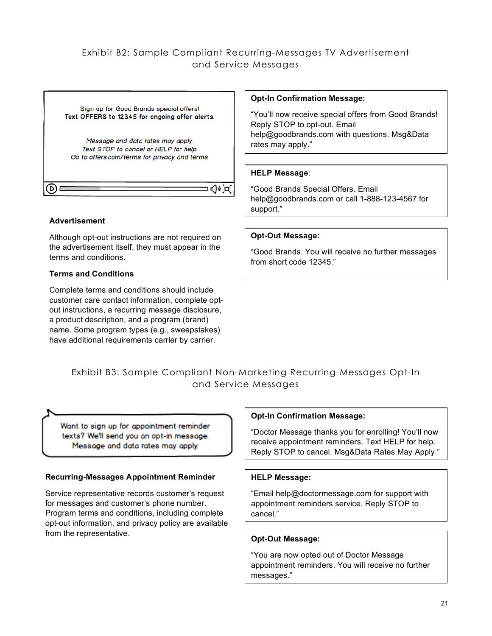### Exhibit B2: Sample Compliant Recurring-Messages TV Advertisement and Service Messages



#### **Advertisement**

Although opt-out instructions are not required on the advertisement itself, they must appear in the terms and conditions.

#### **Terms and Conditions**

Complete terms and conditions should include customer care contact information, complete optout instructions, a recurring message disclosure, a product description, and a program (brand) name. Some program types (e.g., sweepstakes) have additional requirements carrier by carrier.

#### **Opt-In Confirmation Message:**

"You'll now receive special offers from Good Brands! Reply STOP to opt-out. Email help@goodbrands.com with questions. Msg&Data rates may apply."

#### **HELP Message**:

"Good Brands Special Offers. Email help@goodbrands.com or call 1-888-123-4567 for support."

#### **Opt-Out Message:**

"Good Brands. You will receive no further messages from short code 12345."

## Exhibit B3: Sample Compliant Non-Marketing Recurring-Messages Opt-In and Service Messages

Want to sign up for appointment reminder texts? We'll send you an opt-in message. Message and data rates may apply.

#### **Recurring-Messages Appointment Reminder**

Service representative records customer's request for messages and customer's phone number. Program terms and conditions, including complete opt-out information, and privacy policy are available from the representative.

#### **Opt-In Confirmation Message:**

"Doctor Message thanks you for enrolling! You'll now receive appointment reminders. Text HELP for help. Reply STOP to cancel. Msg&Data Rates May Apply."

#### **HELP Message:**

"Email help@doctormessage.com for support with appointment reminders service. Reply STOP to cancel."

#### **Opt-Out Message:**

"You are now opted out of Doctor Message appointment reminders. You will receive no further messages."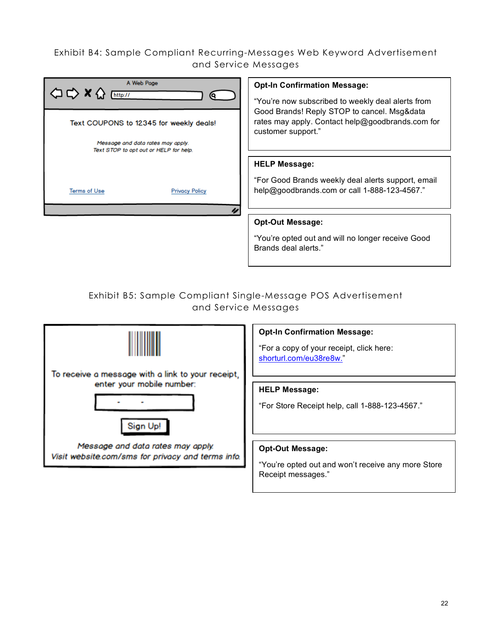## Exhibit B4: Sample Compliant Recurring-Messages Web Keyword Advertisement and Service Messages

| A Web Page<br>http://<br>Text COUPONS to 12345 for weekly deals!            | <b>Opt-In Confirmation Message:</b><br>"You're now subscribed to weekly deal alerts from<br>Good Brands! Reply STOP to cancel. Msg&data<br>rates may apply. Contact help@goodbrands.com for<br>customer support." |
|-----------------------------------------------------------------------------|-------------------------------------------------------------------------------------------------------------------------------------------------------------------------------------------------------------------|
| Message and data rates may apply.<br>Text STOP to opt out or HELP for help. |                                                                                                                                                                                                                   |
|                                                                             | <b>HELP Message:</b>                                                                                                                                                                                              |
| <b>Terms of Use</b><br><b>Privacy Policy</b>                                | "For Good Brands weekly deal alerts support, email<br>help@goodbrands.com or call 1-888-123-4567."                                                                                                                |
|                                                                             | <b>Opt-Out Message:</b>                                                                                                                                                                                           |
|                                                                             | "You're opted out and will no longer receive Good<br>Brands deal alerts."                                                                                                                                         |

## Exhibit B5: Sample Compliant Single-Message POS Advertisement and Service Messages



#### **Opt-In Confirmation Message:**

"For a copy of your receipt, click here: shorturl.com/eu38re8w."

#### **HELP Message:**

"For Store Receipt help, call 1-888-123-4567."

#### **Opt-Out Message:**

"You're opted out and won't receive any more Store Receipt messages."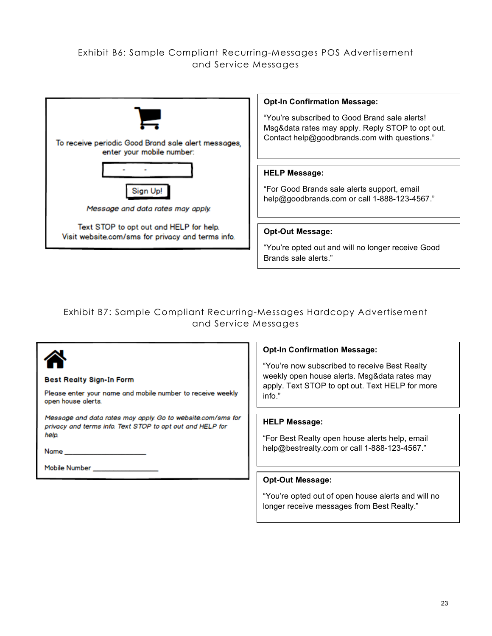#### Exhibit B6: Sample Compliant Recurring-Messages POS Advertisement and Service Messages



#### **Opt-In Confirmation Message:**

"You're subscribed to Good Brand sale alerts! Msg&data rates may apply. Reply STOP to opt out. Contact help@goodbrands.com with questions."

#### **HELP Message:**

"For Good Brands sale alerts support, email help@goodbrands.com or call 1-888-123-4567."

#### **Opt-Out Message:**

"You're opted out and will no longer receive Good Brands sale alerts."

## Exhibit B7: Sample Compliant Recurring-Messages Hardcopy Advertisement and Service Messages

|                                                                                                                          | <b>Opt-In Confirmation Message:</b>                                                            |
|--------------------------------------------------------------------------------------------------------------------------|------------------------------------------------------------------------------------------------|
|                                                                                                                          | "You're now subscribed to receive Best Realty"<br>weekly open house alerts. Msg&data rates may |
| <b>Best Realty Sign-In Form</b>                                                                                          | apply. Text STOP to opt out. Text HELP for more                                                |
| Please enter your name and mobile number to receive weekly<br>open house alerts.                                         | info."                                                                                         |
| Message and data rates may apply. Go to website.com/sms for<br>privacy and terms info. Text STOP to opt out and HELP for | <b>HELP Message:</b>                                                                           |
| help.                                                                                                                    | "For Best Realty open house alerts help, email                                                 |
| Name                                                                                                                     | help@bestrealty.com or call 1-888-123-4567."                                                   |
| Mobile Number                                                                                                            |                                                                                                |
|                                                                                                                          | <b>Opt-Out Message:</b>                                                                        |

#### "You're opted out of open house alerts and will no longer receive messages from Best Realty."

HELP for more.